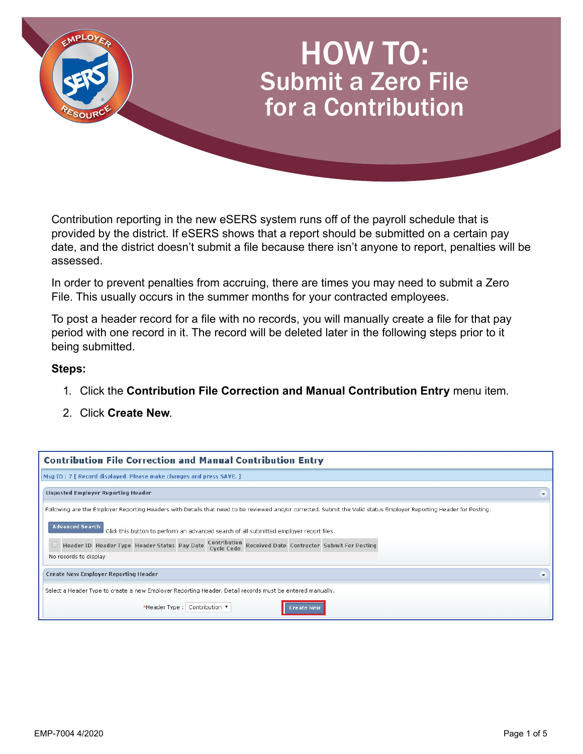

Contribution reporting in the new eSERS system runs off of the payroll schedule that is provided by the district. If eSERS shows that a report should be submitted on a certain pay date, and the district doesn't submit a file because there isn't anyone to report, penalties will be assessed.

In order to prevent penalties from accruing, there are times you may need to submit a Zero File. This usually occurs in the summer months for your contracted employees.

To post a header record for a file with no records, you will manually create a file for that pay period with one record in it. The record will be deleted later in the following steps prior to it being submitted.

## **Steps:**

- 1. Click the **Contribution File Correction and Manual Contribution Entry** menu item.
- 2. Click **Create New**.

| <b>Contribution File Correction and Manual Contribution Entry</b>                                                                                                                                                                                                                                                                                                                                                          |   |
|----------------------------------------------------------------------------------------------------------------------------------------------------------------------------------------------------------------------------------------------------------------------------------------------------------------------------------------------------------------------------------------------------------------------------|---|
| Msg ID: 7   Record displayed. Please make changes and press SAVE. 1                                                                                                                                                                                                                                                                                                                                                        |   |
| <b>Unposted Employer Reporting Header</b>                                                                                                                                                                                                                                                                                                                                                                                  | ۰ |
| Following are the Employer Reporting Headers with Details that need to be reviewed and/or corrected. Submit the Valid status Employer Reporting Header for Posting.<br><b>Advanced Search</b><br>Click this button to perform an advanced search of all submitted employer report files.<br>Header ID Header Type Header Status Pay Date Contribution Received Date Contractor Submit For Posting<br>No records to display |   |
| <b>Create New Employer Reporting Header</b>                                                                                                                                                                                                                                                                                                                                                                                | ۰ |
| Select a Header Type to create a new Employer Reporting Header. Detail records must be entered manually.                                                                                                                                                                                                                                                                                                                   |   |
| *Header Type: Contribution \<br>Create New                                                                                                                                                                                                                                                                                                                                                                                 |   |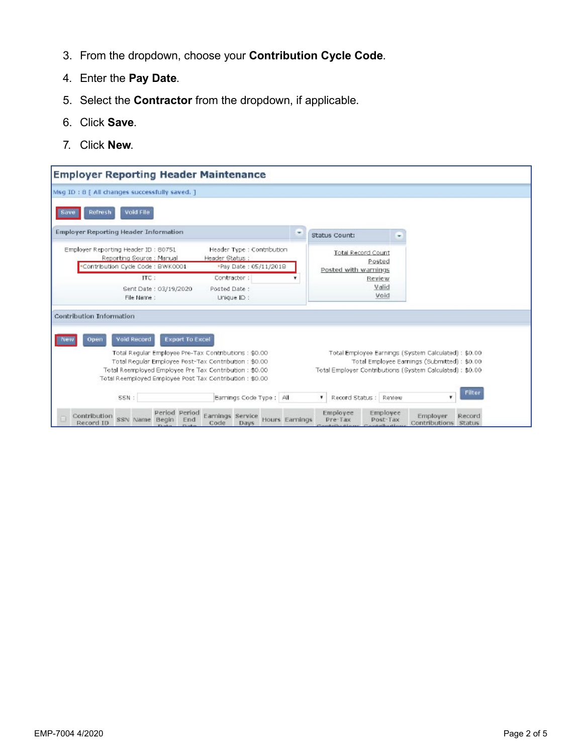- 3. From the dropdown, choose your **Contribution Cycle Code**.
- 4. Enter the **Pay Date**.
- 5. Select the **Contractor** from the dropdown, if applicable.
- 6. Click **Save**.
- 7. Click **New**.

| <b>Employer Reporting Header Maintenance</b>                                                                                                                                                                                          |                                                             |                                                                                                     |
|---------------------------------------------------------------------------------------------------------------------------------------------------------------------------------------------------------------------------------------|-------------------------------------------------------------|-----------------------------------------------------------------------------------------------------|
| Msg ID: 8 [ All changes successfully saved. ]                                                                                                                                                                                         |                                                             |                                                                                                     |
| Void File<br>Refresh<br>Save                                                                                                                                                                                                          |                                                             |                                                                                                     |
| <b>Employer Reporting Header Information</b>                                                                                                                                                                                          | Status Count:                                               |                                                                                                     |
| Employer Reporting Header ID: 80751<br>Header Type : Contribution<br>Reporting Source: Manual<br>Header Status:<br>Contribution Cycle Code : BWK0001<br>*Pay Date: 05/11/2018                                                         | <b>Total Record Count</b><br>Posted<br>Posted with warnings |                                                                                                     |
| ITC:<br>Contractor:<br>Sent Date: 03/19/2020<br>Posted Date :<br>File Name :<br>Unique ID :                                                                                                                                           | Review<br>Valid<br>Void                                     |                                                                                                     |
| Contribution Information<br>Void Record<br><b>Export To Excel</b><br>Open                                                                                                                                                             |                                                             |                                                                                                     |
| Total Regular Employee Pre-Tax Contributions : \$0.00<br>Total Regular Employee Post-Tax Contribution: \$0.00.<br>Total Reemployed Employee Pre Tax Contribution : \$0.00<br>Total Reemployed Employee Post Tax Contribution : \$0.00 | Total Employer Contributions (System Calculated) : \$0.00   | Total Employee Earnings (System Calculated) : \$0.00<br>Total Employee Earnings (Submitted): \$0.00 |
| Earnings Code Type ; All<br>SSN:                                                                                                                                                                                                      | ۳<br>Record Status : Review                                 | Filter                                                                                              |
| Period Period<br>Earnings Service<br>Contribution<br>Hours Earnings<br>SSN Name<br>Begin<br>End<br>Record ID<br>Code<br>Days                                                                                                          | Employee<br>Employee<br>Pre-Tax<br>Post-Tax                 | Employer<br>Record<br>Contributions Status                                                          |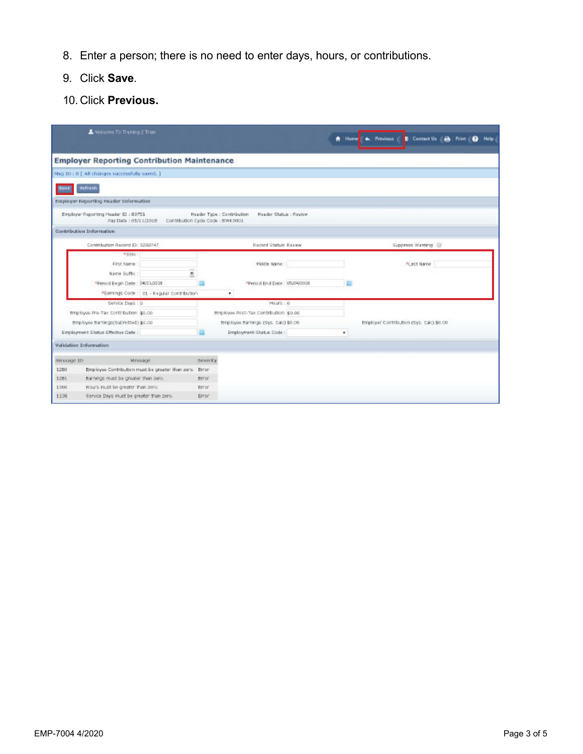- 8. Enter a person; there is no need to enter days, hours, or contributions.
- 9. Click **Save**.
- 10. Click **Previous.**

|              | Welcome To Training 2 Train                                    |                                                        |                 |                                                      | <b>音 Home</b> | * Previous<br>Contact Us<br>٠            | Help:<br>а |
|--------------|----------------------------------------------------------------|--------------------------------------------------------|-----------------|------------------------------------------------------|---------------|------------------------------------------|------------|
|              | <b>Employer Reporting Contribution Maintenance</b>             |                                                        |                 |                                                      |               |                                          |            |
|              | Msg 1D i B [ All changes successfully saved. ]                 |                                                        |                 |                                                      |               |                                          |            |
| <b>Ecreb</b> | <b>Refresh</b>                                                 |                                                        |                 |                                                      |               |                                          |            |
|              | Employer Reporting Header Information                          |                                                        |                 |                                                      |               |                                          |            |
|              | Employer Reporting Header \$3 : 80751<br>Pay Date : 05/11/2018 | Contribution Cyde Code : BWK 0001                      |                 | Header Status : Review<br>Header Type : Contribution |               |                                          |            |
|              | Contribution Information                                       |                                                        |                 |                                                      |               |                                          |            |
|              | Contribution Record (D: 3239747)                               |                                                        |                 | Record Statum Realess                                |               | Suppress Warning                         |            |
|              | #66N1                                                          |                                                        |                 |                                                      |               |                                          |            |
|              | First Name:                                                    |                                                        |                 | Middle Name:                                         |               | FLast Name                               |            |
|              | Name Suffix:                                                   |                                                        |                 |                                                      |               |                                          |            |
|              | *Feriod Begin Date : 04/21/2018                                |                                                        |                 | *Period End Date: 05/04/2018                         |               |                                          |            |
|              |                                                                | *Earnings Code : 01 - Regular Contribution             |                 | ٠                                                    |               |                                          |            |
|              | Service Deep ! D                                               |                                                        |                 | Hours : 0                                            |               |                                          |            |
|              | Employee Pre-Tax Contribution: \$0.00                          |                                                        |                 | Employee Post-Tex Contribution: \$0.00               |               |                                          |            |
|              | Employee Earnings(Submitted) (p).00                            |                                                        |                 | Employee Earnings (Sys. Calc) \$4.00                 |               | Employer Contribution (Sys. Calc) \$0.00 |            |
|              | Employment Status Effective Date:                              |                                                        |                 | Employment Status Code :                             | ٠             |                                          |            |
|              | Validation Information                                         |                                                        |                 |                                                      |               |                                          |            |
| Message ID   |                                                                | Message                                                | <b>Beverity</b> |                                                      |               |                                          |            |
| 1280         |                                                                | Employee Contribution must be greater than zero. Error |                 |                                                      |               |                                          |            |
| 12BL         | Earnings must be greater than zero.                            |                                                        | Error.          |                                                      |               |                                          |            |
| 1500         | Hours must be greater than zero.                               |                                                        | EYFO?           |                                                      |               |                                          |            |
| 1138         | Gervice Days must be greater than zero.                        |                                                        | <b>Error</b>    |                                                      |               |                                          |            |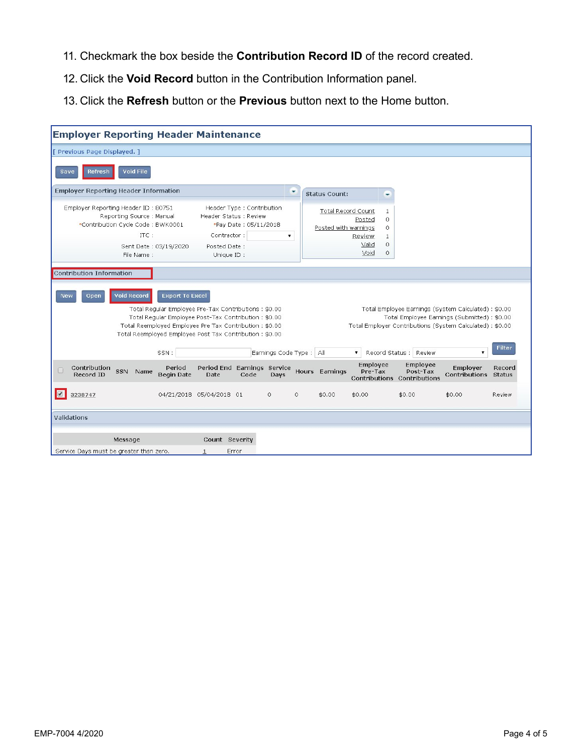- 11. Checkmark the box beside the **Contribution Record ID** of the record created.
- 12. Click the **Void Record** button in the Contribution Information panel.
- 13. Click the **Refresh** button or the **Previous** button next to the Home button.

| <b>Employer Reporting Header Maintenance</b>                                                                                |                             |                                                                                                                                                                                                                                    |                                                     |         |                                                   |                                                    |                                                    |                      |                                                                                                                                                                   |                         |
|-----------------------------------------------------------------------------------------------------------------------------|-----------------------------|------------------------------------------------------------------------------------------------------------------------------------------------------------------------------------------------------------------------------------|-----------------------------------------------------|---------|---------------------------------------------------|----------------------------------------------------|----------------------------------------------------|----------------------|-------------------------------------------------------------------------------------------------------------------------------------------------------------------|-------------------------|
| [ Previous Page Displayed, ]                                                                                                |                             |                                                                                                                                                                                                                                    |                                                     |         |                                                   |                                                    |                                                    |                      |                                                                                                                                                                   |                         |
| <b>Void File</b><br>Refresh<br>Save                                                                                         |                             |                                                                                                                                                                                                                                    |                                                     |         |                                                   |                                                    |                                                    |                      |                                                                                                                                                                   |                         |
| <b>Employer Reporting Header Information</b>                                                                                |                             |                                                                                                                                                                                                                                    |                                                     |         | <b>Status Count:</b>                              |                                                    | ۰                                                  |                      |                                                                                                                                                                   |                         |
| Employer Reporting Header ID: 80751<br>Reporting Source: Manual<br>*Contribution Cycle Code : BWK0001<br>ITC:<br>File Name: | Sent Date: 03/19/2020       | Header Status : Review<br>Contractor:<br>Posted Date:<br>Unique ID:                                                                                                                                                                | Header Type : Contribution<br>*Pay Date: 05/11/2018 | ۷.      | <b>Total Record Count</b><br>Posted with warnings | Posted<br>Review<br>Valid<br>Void                  | 1<br>$\circ$<br>$\circ$<br>1<br>$\circ$<br>$\circ$ |                      |                                                                                                                                                                   |                         |
| <b>Contribution Information</b>                                                                                             |                             |                                                                                                                                                                                                                                    |                                                     |         |                                                   |                                                    |                                                    |                      |                                                                                                                                                                   |                         |
| <b>Void Record</b><br>New<br>Open                                                                                           | <b>Export To Excel</b>      | Total Regular Employee Pre-Tax Contributions: \$0.00<br>Total Regular Employee Post-Tax Contribution: \$0.00<br>Total Reemployed Employee Pre Tax Contribution : \$0.00<br>Total Reemployed Employee Post Tax Contribution: \$0.00 |                                                     |         |                                                   |                                                    |                                                    |                      | Total Employee Earnings (System Calculated) : \$0.00<br>Total Employee Earnings (Submitted) : \$0.00<br>Total Employer Contributions (System Calculated) : \$0.00 |                         |
|                                                                                                                             | SSN:                        |                                                                                                                                                                                                                                    | Earnings Code Type: All                             |         |                                                   | $\blacktriangledown$                               | Record Status : Review                             |                      | ▼                                                                                                                                                                 | <b>Filter</b>           |
| Contribution<br>SSN Name<br>Record ID                                                                                       | Period<br><b>Begin Date</b> | Date                                                                                                                                                                                                                               | Period End Earnings Service<br>Code<br>Days         |         | Hours Earnings                                    | Employee<br>Pre-Tax<br>Contributions Contributions |                                                    | Employee<br>Post-Tax | Employer<br>Contributions                                                                                                                                         | Record<br><b>Status</b> |
| 3238747                                                                                                                     |                             | 04/21/2018 05/04/2018 01                                                                                                                                                                                                           | $\circ$                                             | $\circ$ | \$0.00                                            | \$0.00                                             | \$0.00                                             |                      | \$0.00                                                                                                                                                            | Review                  |
| Validations                                                                                                                 |                             |                                                                                                                                                                                                                                    |                                                     |         |                                                   |                                                    |                                                    |                      |                                                                                                                                                                   |                         |
| Message<br>Service Days must be greater than zero.                                                                          |                             | Count Severity<br>Error                                                                                                                                                                                                            |                                                     |         |                                                   |                                                    |                                                    |                      |                                                                                                                                                                   |                         |